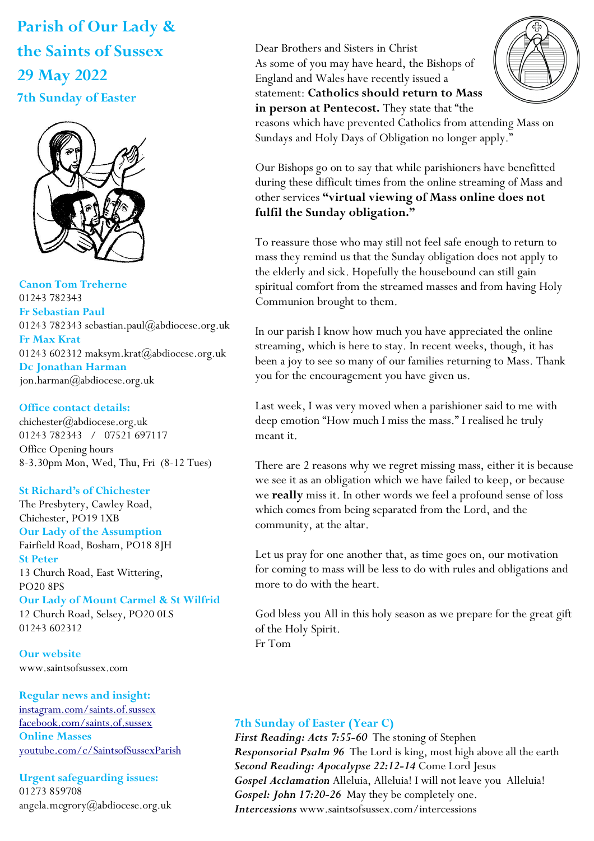# **Parish of Our Lady & the Saints of Sussex 29 May 2022 7th Sunday of Easter**



**Canon Tom Treherne**  01243 782343 **Fr Sebastian Paul**  01243 782343 sebastian.paul@abdiocese.org.uk **Fr Max Krat**  01243 602312 maksym.krat@abdiocese.org.uk **Dc Jonathan Harman**  [jon.harman@abdiocese.org.uk](mailto:jon.harman@abdiocese.org.uk)

#### **Office contact details:**

chichester@abdiocese.org.uk 01243 782343 / 07521 697117 Office Opening hours 8-3.30pm Mon, Wed, Thu, Fri (8-12 Tues)

## **St Richard's of Chichester**

The Presbytery, Cawley Road, Chichester, PO19 1XB

## **Our Lady of the Assumption**

Fairfield Road, Bosham, PO18 8JH **St Peter**  13 Church Road, East Wittering, PO20 8PS

## **Our Lady of Mount Carmel & St Wilfrid**

12 Church Road, Selsey, PO20 0LS 01243 602312

**Our website**  www.saintsofsussex.com

## **Regular news and insight:**

[instagram.com/saints.of.sussex](https://instagram.com/saints.of.sussex) [facebook.com/saints.of.sussex](https://facebook.com/saints.of.sussex) **Online Masses**  <youtube.com/c/SaintsofSussexParish>

# **Urgent safeguarding issues:**

01273 859708 angela.mcgrory@abdiocese.org.uk Dear Brothers and Sisters in Christ As some of you may have heard, the Bishops of England and Wales have recently issued a statement: **Catholics should return to Mass in person at Pentecost.** They state that "the



reasons which have prevented Catholics from attending Mass on Sundays and Holy Days of Obligation no longer apply."

Our Bishops go on to say that while parishioners have benefitted during these difficult times from the online streaming of Mass and other services **"virtual viewing of Mass online does not fulfil the Sunday obligation."**

To reassure those who may still not feel safe enough to return to mass they remind us that the Sunday obligation does not apply to the elderly and sick. Hopefully the housebound can still gain spiritual comfort from the streamed masses and from having Holy Communion brought to them.

In our parish I know how much you have appreciated the online streaming, which is here to stay. In recent weeks, though, it has been a joy to see so many of our families returning to Mass. Thank you for the encouragement you have given us.

Last week, I was very moved when a parishioner said to me with deep emotion "How much I miss the mass." I realised he truly meant it.

There are 2 reasons why we regret missing mass, either it is because we see it as an obligation which we have failed to keep, or because we **really** miss it. In other words we feel a profound sense of loss which comes from being separated from the Lord, and the community, at the altar.

Let us pray for one another that, as time goes on, our motivation for coming to mass will be less to do with rules and obligations and more to do with the heart.

God bless you All in this holy season as we prepare for the great gift of the Holy Spirit. Fr Tom

## **7th Sunday of Easter (Year C)**

*First Reading: Acts 7:55-60* The stoning of Stephen *Responsorial Psalm 96* The Lord is king, most high above all the earth *Second Reading: Apocalypse 22:12-14* Come Lord Jesus *Gospel Acclamation* Alleluia, Alleluia! I will not leave you Alleluia! *Gospel: John 17:20-26* May they be completely one. *Intercessions* www.saintsofsussex.com/intercessions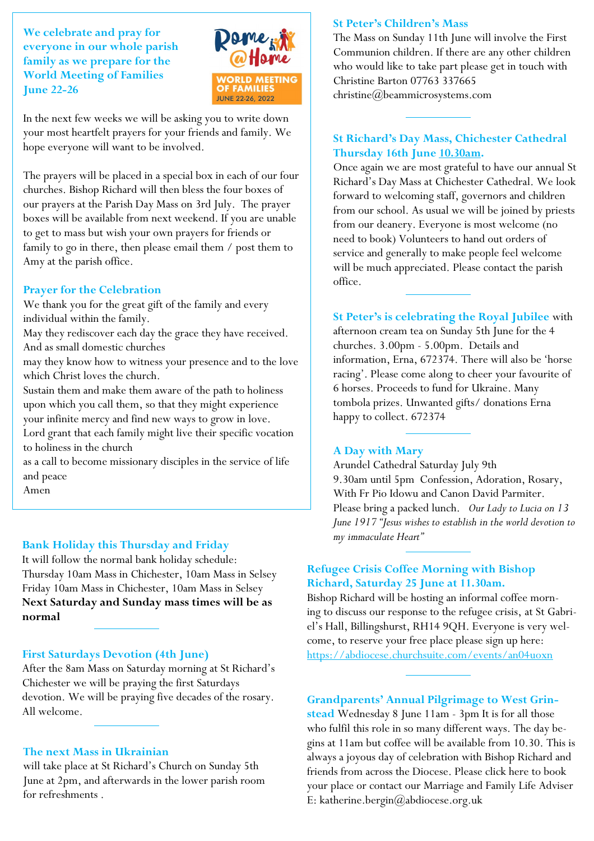**We celebrate and pray for everyone in our whole parish family as we prepare for the World Meeting of Families June 22-26** 



In the next few weeks we will be asking you to write down your most heartfelt prayers for your friends and family. We hope everyone will want to be involved.

The prayers will be placed in a special box in each of our four churches. Bishop Richard will then bless the four boxes of our prayers at the Parish Day Mass on 3rd July. The prayer boxes will be available from next weekend. If you are unable to get to mass but wish your own prayers for friends or family to go in there, then please email them / post them to Amy at the parish office.

#### **Prayer for the Celebration**

We thank you for the great gift of the family and every individual within the family.

May they rediscover each day the grace they have received. And as small domestic churches

may they know how to witness your presence and to the love which Christ loves the church.

Sustain them and make them aware of the path to holiness upon which you call them, so that they might experience your infinite mercy and find new ways to grow in love.

Lord grant that each family might live their specific vocation to holiness in the church

as a call to become missionary disciples in the service of life and peace

Amen

#### **Bank Holiday this Thursday and Friday**

It will follow the normal bank holiday schedule: Thursday 10am Mass in Chichester, 10am Mass in Selsey Friday 10am Mass in Chichester, 10am Mass in Selsey **Next Saturday and Sunday mass times will be as normal**

#### **First Saturdays Devotion (4th June)**

After the 8am Mass on Saturday morning at St Richard's Chichester we will be praying the first Saturdays devotion. We will be praying five decades of the rosary. All welcome.

#### **The next Mass in Ukrainian**

will take place at St Richard's Church on Sunday 5th June at 2pm, and afterwards in the lower parish room for refreshments .

#### **St Peter's Children's Mass**

The Mass on Sunday 11th June will involve the First Communion children. If there are any other children who would like to take part please get in touch with Christine Barton 07763 [337665](mailto:337665/christine@beammicrosystems.com)  [christine@beammicrosystems.com](mailto:337665/christine@beammicrosystems.com)

## **St Richard's Day Mass, Chichester Cathedral Thursday 16th June 10.30am.**

Once again we are most grateful to have our annual St Richard's Day Mass at Chichester Cathedral. We look forward to welcoming staff, governors and children from our school. As usual we will be joined by priests from our deanery. Everyone is most welcome (no need to book) Volunteers to hand out orders of service and generally to make people feel welcome will be much appreciated. Please contact the parish office.

**St Peter's is celebrating the Royal Jubilee** with afternoon cream tea on Sunday 5th June for the 4 churches. 3.00pm - 5.00pm. Details and information, Erna, 672374. There will also be 'horse racing'. Please come along to cheer your favourite of 6 horses. Proceeds to fund for Ukraine. Many tombola prizes. Unwanted gifts/ donations Erna

#### **A Day with Mary**

happy to collect. 672374

Arundel Cathedral Saturday July 9th 9.30am until 5pm Confession, Adoration, Rosary, With Fr Pio Idowu and Canon David Parmiter. Please bring a packed lunch. *Our Lady to Lucia on 13 June 1917 "Jesus wishes to establish in the world devotion to my immaculate Heart"*

## **Refugee Crisis Coffee Morning with Bishop Richard, Saturday 25 June at 11.30am.**

Bishop Richard will be hosting an informal coffee morning to discuss our response to the refugee crisis, at St Gabriel's Hall, Billingshurst, RH14 9QH. Everyone is very welcome, to reserve your free place please sign up here: <https://abdiocese.churchsuite.com/events/an04uoxn>

**Grandparents' Annual Pilgrimage to West Grin-**

**stead** Wednesday 8 June 11am - 3pm It is for all those who fulfil this role in so many different ways. The day begins at 11am but coffee will be available from 10.30. This is always a joyous day of celebration with Bishop Richard and friends from across the Diocese. Please click here to book your place or contact our Marriage and Family Life Adviser E: katherine.bergin@abdiocese.org.uk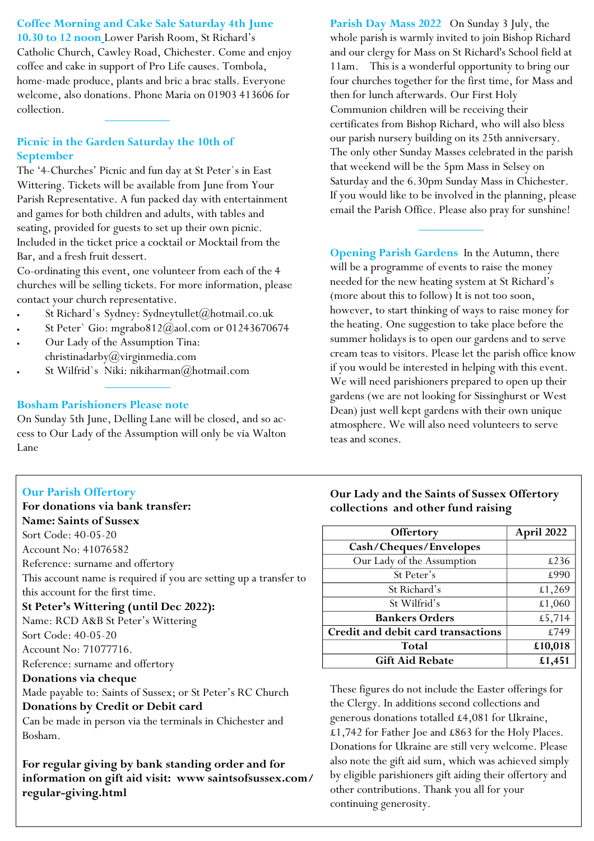**Coffee Morning and Cake Sale Saturday 4th June 10.30 to 12 noon** Lower Parish Room, St Richard's Catholic Church, Cawley Road, Chichester. Come and enjoy coffee and cake in support of Pro Life causes. Tombola, home-made produce, plants and bric a brac stalls. Everyone welcome, also donations. Phone Maria on 01903 413606 for collection.

## **Picnic in the Garden Saturday the 10th of September**

The '4-Churches' Picnic and fun day at St Peter`s in East Wittering. Tickets will be available from June from Your Parish Representative. A fun packed day with entertainment and games for both children and adults, with tables and seating, provided for guests to set up their own picnic. Included in the ticket price a cocktail or Mocktail from the Bar, and a fresh fruit dessert.

Co-ordinating this event, one volunteer from each of the 4 churches will be selling tickets. For more information, please contact your church representative.

- St Richard`s Sydney: Sydneytullet@hotmail.co.uk
- St Peter` Gio: mgrabo812@aol.com or 01243670674
- Our Lady of the Assumption Tina:  $christinadarby@virginmedia.com$
- St Wilfrid`s Niki: nikiharman $(\alpha)$ hotmail.com

## **Bosham Parishioners Please note**

On Sunday 5th June, Delling Lane will be closed, and so access to Our Lady of the Assumption will only be via Walton Lane

# **Our Parish Offertory**

**For donations via bank transfer: Name: Saints of Sussex**

Sort Code: 40-05-20

Account No: 41076582

Reference: surname and offertory

This account name is required if you are setting up a transfer to

this account for the first time. **St Peter's Wittering (until Dec 2022):**

Name: RCD A&B St Peter's Wittering

Sort Code: 40-05-20

Account No: 71077716.

Reference: surname and offertory

## **Donations via cheque**

Made payable to: Saints of Sussex; or St Peter's RC Church

# **Donations by Credit or Debit card**

Can be made in person via the terminals in Chichester and Bosham.

**For regular giving by bank standing order and for information on gift aid visit: www saintsofsussex.com/ regular-giving.html**

**Parish Day Mass 2022** On Sunday 3 July, the whole parish is warmly invited to join Bishop Richard and our clergy for Mass on St Richard's School field at 11am. This is a wonderful opportunity to bring our four churches together for the first time, for Mass and then for lunch afterwards. Our First Holy Communion children will be receiving their certificates from Bishop Richard, who will also bless our parish nursery building on its 25th anniversary. The only other Sunday Masses celebrated in the parish that weekend will be the 5pm Mass in Selsey on Saturday and the 6.30pm Sunday Mass in Chichester. If you would like to be involved in the planning, please email the Parish Office. Please also pray for sunshine!

**Opening Parish Gardens** In the Autumn, there will be a programme of events to raise the money needed for the new heating system at St Richard's (more about this to follow) It is not too soon, however, to start thinking of ways to raise money for the heating. One suggestion to take place before the summer holidays is to open our gardens and to serve cream teas to visitors. Please let the parish office know if you would be interested in helping with this event. We will need parishioners prepared to open up their gardens (we are not looking for Sissinghurst or West Dean) just well kept gardens with their own unique atmosphere. We will also need volunteers to serve teas and scones.

# **Our Lady and the Saints of Sussex Offertory collections and other fund raising**

| Offertory                          | April 2022 |
|------------------------------------|------------|
| Cash/Cheques/Envelopes             |            |
| Our Lady of the Assumption         | £236       |
| St Peter's                         | £990       |
| St Richard's                       | £1,269     |
| St Wilfrid's                       | £1,060     |
| <b>Bankers Orders</b>              | £5,714     |
| Credit and debit card transactions | £749       |
| Total                              | £10,018    |
| <b>Gift Aid Rebate</b>             | £1,451     |

These figures do not include the Easter offerings for the Clergy. In additions second collections and generous donations totalled £4,081 for Ukraine, £1,742 for Father Joe and £863 for the Holy Places. Donations for Ukraine are still very welcome. Please also note the gift aid sum, which was achieved simply by eligible parishioners gift aiding their offertory and other contributions. Thank you all for your continuing generosity.